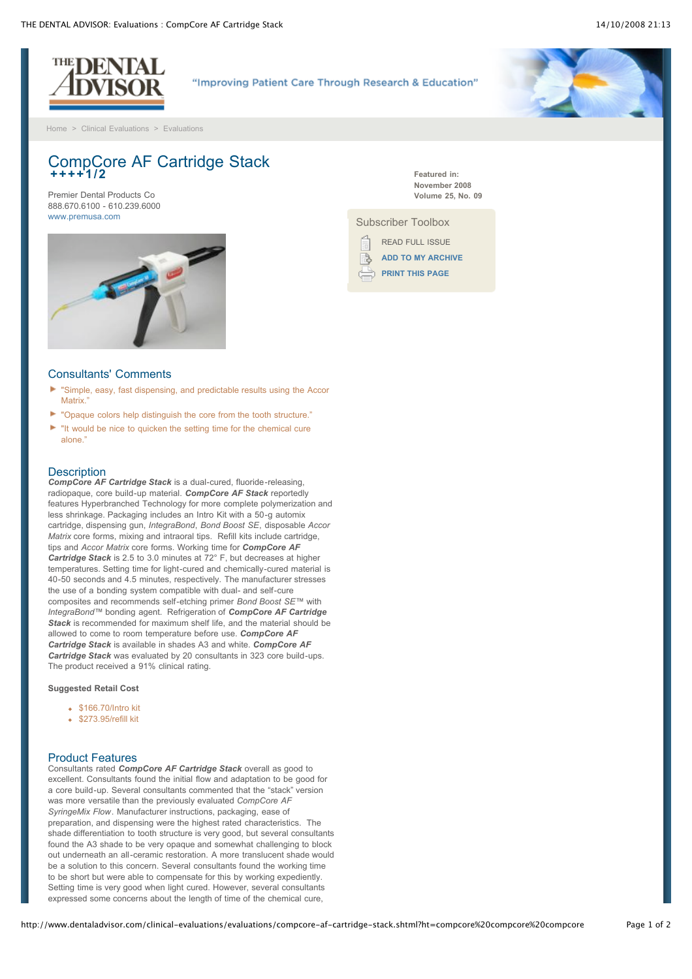

"Improving Patient Care Through Research & Education"

[Home](http://www.dentaladvisor.com/index.shtml) > [Clinical Evaluations](http://www.dentaladvisor.com/clinical-evaluations/index.shtml) > [Evaluations](http://www.dentaladvisor.com/clinical-evaluations/evaluations/index.shtml)

# CompCore AF Cartridge Stack **++++1/2**

Premier Dental Products Co 888.670.6100 - 610.239.6000 [www.premusa.com](http://www.premusa.com/)



**Featured in: November 2008 Volume 25, No. 09**

Subscriber Toolbox

READ FULL ISSUE **[ADD TO MY ARCHIVE](http://www.dentaladvisor.com/my-account/archive/add-to-archive.shtml?type=clinicalEvaluation&url=%2Fclinical-evaluations%2Fevaluations%2Fcompcore-af-cartridge-stack.shtml%3Fht%3Dcompcore%2520compcore%2520compcore&title=CompCore+AF+Cartridge+Stack)** R, **[PRINT THIS PAGE](http://www.dentaladvisor.com/clinical-evaluations/evaluations/compcore-af-cartridge-stack.shtml?ht=compcore%20compcore%20compcore#)**

## Consultants' Comments

- ь "Simple, easy, fast dispensing, and predictable results using the Accor Matrix."
- ь "Opaque colors help distinguish the core from the tooth structure."
- "It would be nice to quicken the setting time for the chemical cure alone."

#### **Description**

*CompCore AF Cartridge Stack* is a dual-cured, fluoride-releasing, radiopaque, core build-up material. *CompCore AF Stack* reportedly features Hyperbranched Technology for more complete polymerization and less shrinkage. Packaging includes an Intro Kit with a 50-g automix cartridge, dispensing gun, *IntegraBond*, *Bond Boost SE*, disposable *Accor Matrix* core forms, mixing and intraoral tips. Refill kits include cartridge, tips and *Accor Matrix* core forms. Working time for *CompCore AF Cartridge Stack* is 2.5 to 3.0 minutes at 72° F, but decreases at higher temperatures. Setting time for light-cured and chemically-cured material is 40-50 seconds and 4.5 minutes, respectively. The manufacturer stresses the use of a bonding system compatible with dual- and self-cure composites and recommends self-etching primer *Bond Boost SE™* with *IntegraBond™* bonding agent. Refrigeration of *CompCore AF Cartridge* **Stack** is recommended for maximum shelf life, and the material should be allowed to come to room temperature before use. *CompCore AF Cartridge Stack* is available in shades A3 and white. *CompCore AF Cartridge Stack* was evaluated by 20 consultants in 323 core build-ups. The product received a 91% clinical rating.

**Suggested Retail Cost**

- \$166.70/Intro kit
- $$273.95/refill$

#### Product Features

Consultants rated *CompCore AF Cartridge Stack* overall as good to excellent. Consultants found the initial flow and adaptation to be good for a core build-up. Several consultants commented that the "stack" version was more versatile than the previously evaluated *CompCore AF SyringeMix Flow*. Manufacturer instructions, packaging, ease of preparation, and dispensing were the highest rated characteristics. The shade differentiation to tooth structure is very good, but several consultants found the A3 shade to be very opaque and somewhat challenging to block out underneath an all-ceramic restoration. A more translucent shade would be a solution to this concern. Several consultants found the working time to be short but were able to compensate for this by working expediently. Setting time is very good when light cured. However, several consultants expressed some concerns about the length of time of the chemical cure,